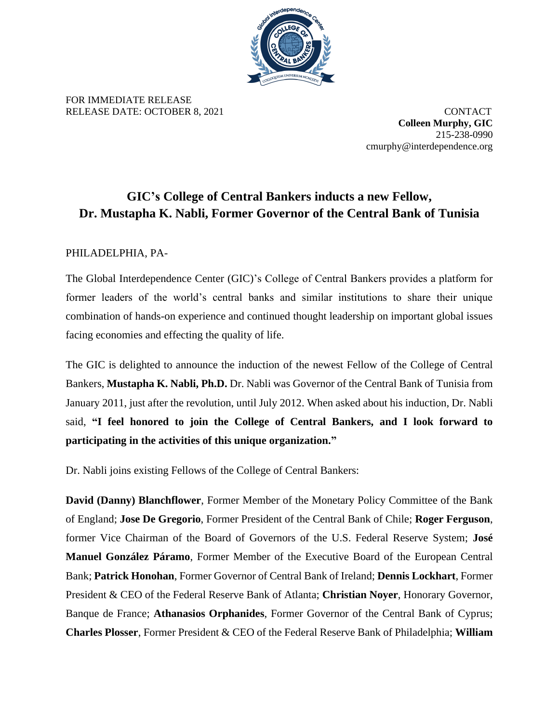

FOR IMMEDIATE RELEASE RELEASE DATE: OCTOBER 8, 2021 CONTACT

**Colleen Murphy, GIC** 215-238-0990 cmurphy@interdependence.org

## **GIC's College of Central Bankers inducts a new Fellow, Dr. Mustapha K. Nabli, Former Governor of the Central Bank of Tunisia**

## PHILADELPHIA, PA-

The Global Interdependence Center (GIC)'s College of Central Bankers provides a platform for former leaders of the world's central banks and similar institutions to share their unique combination of hands-on experience and continued thought leadership on important global issues facing economies and effecting the quality of life.

The GIC is delighted to announce the induction of the newest Fellow of the College of Central Bankers, **Mustapha K. Nabli, Ph.D.** Dr. Nabli was Governor of the Central Bank of Tunisia from January 2011, just after the revolution, until July 2012. When asked about his induction, Dr. Nabli said, **"I feel honored to join the College of Central Bankers, and I look forward to participating in the activities of this unique organization."**

Dr. Nabli joins existing Fellows of the College of Central Bankers:

**David (Danny) Blanchflower**, Former Member of the Monetary Policy Committee of the Bank of England; **Jose De Gregorio**, Former President of the Central Bank of Chile; **Roger Ferguson**, former Vice Chairman of the Board of Governors of the U.S. Federal Reserve System; **José Manuel González Páramo**, Former Member of the Executive Board of the European Central Bank; **Patrick Honohan**, Former Governor of Central Bank of Ireland; **Dennis Lockhart**, Former President & CEO of the Federal Reserve Bank of Atlanta; **Christian Noyer**, Honorary Governor, Banque de France; **Athanasios Orphanides**, Former Governor of the Central Bank of Cyprus; **Charles Plosser**, Former President & CEO of the Federal Reserve Bank of Philadelphia; **William**